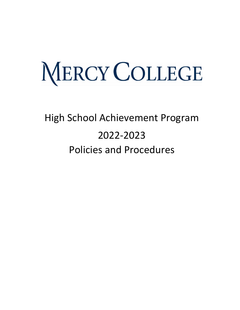# MERCY COLLEGE

# High School Achievement Program 2022-2023 Policies and Procedures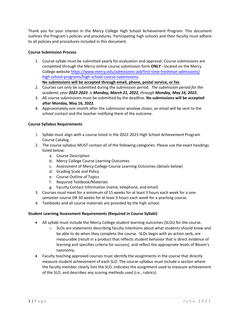Thank you for your interest in the Mercy College High School Achievement Program. This document outlines the Program's policies and procedures. Participating high schools and their faculty must adhere to all policies and procedures included in this document.

# **Course Submission Process**

1. Course syllabi must be submitted yearly for evaluation and approval. Course submissions are completed through the Mercy online course submission form **ONLY -** located on the Mercy College website [https://www.mercy.edu/admissions-aid/first-time-freshman-admissions/](https://www.mercy.edu/admissions-aid/first-time-freshman-admissions/high-school-programs/high-school-course-submissions) [high-school-programs/high-school-course-submiss](https://www.mercy.edu/admissions-aid/first-time-freshman-admissions/high-school-programs/high-school-course-submissions)ions.

**No submissions will be accepted through email, phone, postal service, or fax**.

- 2. Courses can only be submitted during the submission period. *The submission period for the academic year 2022-2023 is Monday, March 21, 2022, through Monday, May 16, 2022.*
- 3. All course submissions must be submitted by the deadline. **No submissions will be accepted after Monday, May 16, 2022.**
- 4. Approximately one month after the submission window closes, an email will be sent to the school contact and the teacher notifying them of the outcome.

# **Course Syllabus Requirements**

- 1. Syllabi must align with a course listed in the 2022-2023 High School Achievement Program Course Catalog.
- 2. The course syllabus MUST contain all of the following categories. Please use the exact headings listed below:
	- a. Course Description
	- b. Mercy College Course Learning Outcomes
	- c. Assessment of Mercy College Course Learning Outcomes (details below)
	- d. Grading Scale and Policy
	- e. Course Outline of Topics
	- f. Required Textbook/Materials
	- g. Faculty Contact Information (name, telephone, and email)
- 3. Courses must meet for a minimum of 15 weeks for at least 3 hours each week for a onesemester course OR 30 weeks for at least 3 hours each week for a yearlong course.
- 4. Textbooks and all course materials are provided by the high school.

#### **Student Learning Assessment Requirements (Required in Course Syllabi)**

- All syllabi must include the Mercy College student learning outcomes (SLOs) for the course.
	- $\circ$  SLOs are statements describing faculty intentions about what students should know and be able to do when they complete the course. SLOs begin with an action verb, are measurable (result in a product that reflects student behavior that is direct evidence of learning and specifies criteria for success), and reflect the appropriate levels of Bloom's taxonomy.
- Faculty teaching approved courses must identify the assignments in the course that directly measure student achievement of each SLO. The course syllabus must include a section where the faculty member clearly lists the SLO, indicates the assignment used to measure achievement of the SLO, and describes any scoring methods used (i.e., rubrics).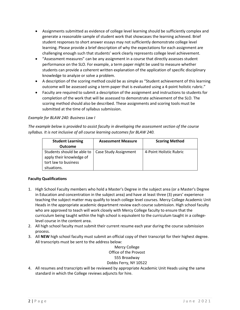- Assignments submitted as evidence of college level learning should be sufficiently complex and generate a reasonable sample of student work that showcases the learning achieved. Brief student responses to short answer essays may not sufficiently demonstrate college level learning. Please provide a brief description of why the expectations for each assignment are challenging enough such that students' work clearly represents college level achievement.
- "Assessment measures" can be any assignment in a course that directly assesses student performance on the SLO. For example, a term paper might be used to measure whether students can provide a coherent written explanation of the application of specific disciplinary knowledge to analyze or solve a problem.
- A description of the scoring method could be as simple as "Student achievement of this learning outcome will be assessed using a term paper that is evaluated using a 4-point holistic rubric."
- Faculty are required to submit a description of the assignment and instructions to students for completion of the work that will be assessed to demonstrate achievement of the SLO. The scoring method should also be described. These assignments and scoring tools must be submitted at the time of syllabus submission.

# *Example for BLAW 240: Business Law I*

*The example below is provided to assist faculty in developing the assessment section of the course syllabus. It is not inclusive of all course learning outcomes for BLAW 240.*

| <b>Student Learning</b><br><b>Outcome</b>                                                     | <b>Assessment Measure</b> | <b>Scoring Method</b>   |
|-----------------------------------------------------------------------------------------------|---------------------------|-------------------------|
| Students should be able to<br>apply their knowledge of<br>tort law to business<br>situations. | Case Study Assignment     | 4-Point Holistic Rubric |

# **Faculty Qualifications**

- 1. High School Faculty members who hold a Master's Degree in the subject area (or a Master's Degree in Education and concentration in the subject area) and have at least three (3) years' experience teaching the subject matter may qualify to teach college level courses. Mercy College Academic Unit Heads in the appropriate academic department review each course submission. High school faculty who are approved to teach will work closely with Mercy College faculty to ensure that the curriculum being taught within the high school is equivalent to the curriculum taught in a collegelevel course in the content area.
- 2. All high school faculty must submit their current resume each year during the course submission process.
- 3. All **NEW** high school faculty must submit an official copy of their transcript for their highest degree. All transcripts must be sent to the address below:

# Mercy College Office of the Provost 555 Broadway Dobbs Ferry, NY 10522

4. All resumes and transcripts will be reviewed by appropriate Academic Unit Heads using the same standard in which the College reviews adjuncts for hire.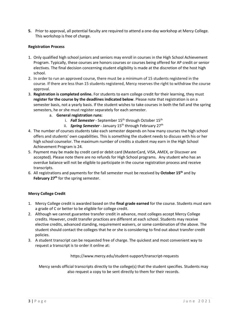**5.** Prior to approval, all potential faculty are required to attend a one-day workshop at Mercy College. This workshop is free of charge.

# **Registration Process**

- 1. Only qualified high school juniors and seniors may enroll in courses in the High School Achievement Program. Typically, these courses are honors courses or courses being offered for AP credit or senior electives. The final decision concerning student eligibility is made at the discretion of the host high school.
- 2. In order to run an approved course, there must be a minimum of 15 students registered in the course. If there are less than 15 students registered, Mercy reserves the right to withdraw the course approval.
- 3. **Registration is completed online.** For students to earn college credit for their learning, they must **register for the course by the deadlines indicated below**. Please note that registration is on a semester basis, not a yearly basis. If the student wishes to take courses in both the fall and the spring semesters, he or she must register separately for each semester.
	- a. **General registration runs:**
		- i. **Fall Semester** September 15<sup>th</sup> through October 15<sup>th</sup>
		- ii. **Spring Semester** January 15<sup>th</sup> through February 27<sup>th</sup>
- 4. The number of courses students take each semester depends on how many courses the high school offers and students' own capabilities. This is something the student needs to discuss with his or her high school counselor. The maximum number of credits a student may earn in the High School Achievement Program is 24.
- 5. Payment may be made by credit card or debit card (MasterCard, VISA, AMEX, or Discover are accepted). Please note there are no refunds for High School programs. Any student who has an overdue balance will not be eligible to participate in the course registration process and receive transcripts.
- 6. All registrations and payments for the fall semester must be received by **October 15th** and by **February 27th** for the spring semester.

#### **Mercy College Credit**

- 1. Mercy College credit is awarded based on the **final grade earned** for the course. Students must earn a grade of C or better to be eligible for college credit.
- 2. Although we cannot guarantee transfer credit in advance, most colleges accept Mercy College credits. However, credit transfer practices are different at each school. Students may receive elective credits, advanced standing, requirement waivers, or some combination of the above. The student should contact the colleges that he or she is considering to find out about transfer credit policies.
- 3. A student transcript can be requested free of charge. The quickest and most convenient way to request a transcript is to order it online at:

<https://www.mercy.edu/student-support/transcript-requests>

Mercy sends official transcripts directly to the college(s) that the student specifies. Students may also request a copy to be sent directly to them for their records.